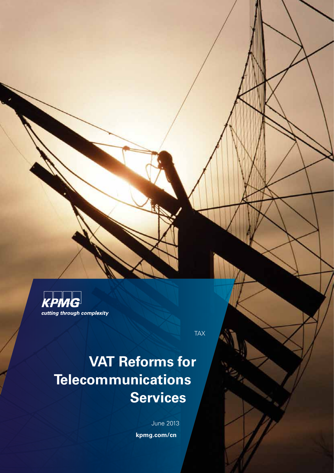

TAX

# **VAT Reforms for Telecommunications Services**

June 2013 **kpmg.com/cn**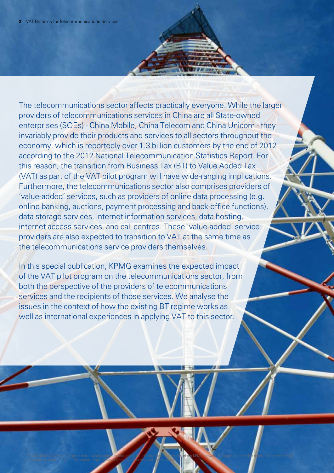The telecommunications sector affects practically everyone. While the larger providers of telecommunications services in China are all State-owned enterprises (SOEs) - China Mobile, China Telecom and China Unicom - they invariably provide their products and services to all sectors throughout the economy, which is reportedly over 1.3 billion customers by the end of 2012 according to the 2012 National Telecommunication Statistics Report. For this reason, the transition from Business Tax (BT) to Value Added Tax (VAT) as part of the VAT pilot program will have wide-ranging implications. Furthermore, the telecommunications sector also comprises providers of 'value-added' services, such as providers of online data processing (e.g. online banking, auctions, payment processing and back-office functions), data storage services, internet information services, data hosting, internet access services, and call centres. These 'value-added' service providers are also expected to transition to VAT at the same time as the telecommunications service providers themselves.

In this special publication, KPMG examines the expected impact of the VAT pilot program on the telecommunications sector, from both the perspective of the providers of telecommunications services and the recipients of those services. We analyse the issues in the context of how the existing BT regime works as well as international experiences in applying VAT to this sector.

© 2013 KPMG Advisory (China) Limited, a wholly foreign **owned enterprise in C**hina an**d a member firm of the KPMG network** of independent memb**er fir**ms affiliated with KPMG

International Cooperative ("KPMG International"), a Swiss entity. All rights reserved. Printed in China.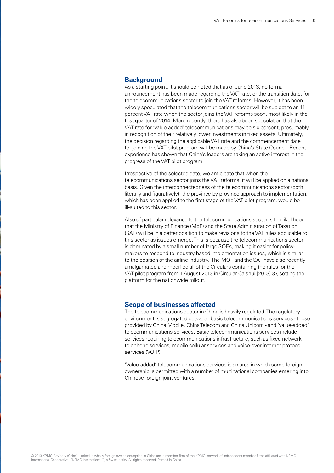#### **Background**

As a starting point, it should be noted that as of June 2013, no formal announcement has been made regarding the VAT rate, or the transition date, for the telecommunications sector to join the VAT reforms. However, it has been widely speculated that the telecommunications sector will be subject to an 11 percent VAT rate when the sector joins the VAT reforms soon, most likely in the first quarter of 2014. More recently, there has also been speculation that the VAT rate for 'value-added' telecommunications may be six percent, presumably in recognition of their relatively lower investments in fixed assets. Ultimately, the decision regarding the applicable VAT rate and the commencement date for joining the VAT pilot program will be made by China's State Council. Recent experience has shown that China's leaders are taking an active interest in the progress of the VAT pilot program.

Irrespective of the selected date, we anticipate that when the telecommunications sector joins the VAT reforms, it will be applied on a national basis. Given the interconnectedness of the telecommunications sector (both literally and figuratively), the province-by-province approach to implementation, which has been applied to the first stage of the VAT pilot program, would be ill-suited to this sector.

Also of particular relevance to the telecommunications sector is the likelihood that the Ministry of Finance (MoF) and the State Administration of Taxation (SAT) will be in a better position to make revisions to the VAT rules applicable to this sector as issues emerge. This is because the telecommunications sector is dominated by a small number of large SOEs, making it easier for policymakers to respond to industry-based implementation issues, which is similar to the position of the airline industry. The MOF and the SAT have also recently amalgamated and modified all of the Circulars containing the rules for the VAT pilot program from 1 August 2013 in Circular Caishui [2013] 37, setting the platform for the nationwide rollout.

#### **Scope of businesses affected**

The telecommunications sector in China is heavily regulated. The regulatory environment is segregated between basic telecommunications services - those provided by China Mobile, China Telecom and China Unicom - and 'value-added' telecommunications services. Basic telecommunications services include services requiring telecommunications infrastructure, such as fixed network telephone services, mobile cellular services and voice-over internet protocol services (VOIP).

'Value-added' telecommunications services is an area in which some foreign ownership is permitted with a number of multinational companies entering into Chinese foreign joint ventures.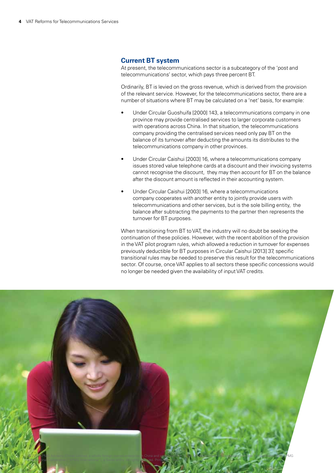#### **Current BT system**

At present, the telecommunications sector is a subcategory of the 'post and telecommunications' sector, which pays three percent BT.

Ordinarily, BT is levied on the gross revenue, which is derived from the provision of the relevant service. However, for the telecommunications sector, there are a number of situations where BT may be calculated on a 'net' basis, for example:

- Under Circular Guoshuifa [2000] 143, a telecommunications company in one province may provide centralised services to larger corporate customers with operations across China. In that situation, the telecommunications company providing the centralised services need only pay BT on the balance of its turnover after deducting the amounts its distributes to the telecommunications company in other provinces.
- Under Circular Caishui [2003] 16, where a telecommunications company issues stored value telephone cards at a discount and their invoicing systems cannot recognise the discount, they may then account for BT on the balance after the discount amount is reflected in their accounting system.
- Under Circular Caishui [2003] 16, where a telecommunications company cooperates with another entity to jointly provide users with telecommunications and other services, but is the sole billing entity, the balance after subtracting the payments to the partner then represents the turnover for BT purposes.

When transitioning from BT to VAT, the industry will no doubt be seeking the continuation of these policies. However, with the recent abolition of the provision in the VAT pilot program rules, which allowed a reduction in turnover for expenses previously deductible for BT purposes in Circular Caishui [2013] 37, specific transitional rules may be needed to preserve this result for the telecommunications sector. Of course, once VAT applies to all sectors these specific concessions would no longer be needed given the availability of input VAT credits.

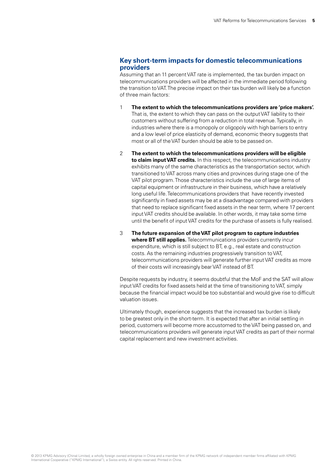#### **Key short-term impacts for domestic telecommunications providers**

Assuming that an 11 percent VAT rate is implemented, the tax burden impact on telecommunications providers will be affected in the immediate period following the transition to VAT. The precise impact on their tax burden will likely be a function of three main factors:

- 1 **The extent to which the telecommunications providers are 'price makers'.** That is, the extent to which they can pass on the output VAT liability to their customers without suffering from a reduction in total revenue. Typically, in industries where there is a monopoly or oligopoly with high barriers to entry and a low level of price elasticity of demand, economic theory suggests that most or all of the VAT burden should be able to be passed on.
- 2 **The extent to which the telecommunications providers will be eligible to claim input VAT credits.** In this respect, the telecommunications industry exhibits many of the same characteristics as the transportation sector, which transitioned to VAT across many cities and provinces during stage one of the VAT pilot program. Those characteristics include the use of large items of capital equipment or infrastructure in their business, which have a relatively long useful life. Telecommunications providers that have recently invested significantly in fixed assets may be at a disadvantage compared with providers that need to replace significant fixed assets in the near term, where 17 percent input VAT credits should be available. In other words, it may take some time until the benefit of input VAT credits for the purchase of assets is fully realised.
- 3 **The future expansion of the VAT pilot program to capture industries where BT still applies.** Telecommunications providers currently incur expenditure, which is still subject to BT, e.g., real estate and construction costs. As the remaining industries progressively transition to VAT, telecommunications providers will generate further input VAT credits as more of their costs will increasingly bear VAT instead of BT.

Despite requests by industry, it seems doubtful that the MoF and the SAT will allow input VAT credits for fixed assets held at the time of transitioning to VAT, simply because the financial impact would be too substantial and would give rise to difficult valuation issues.

Ultimately though, experience suggests that the increased tax burden is likely to be greatest only in the short-term. It is expected that after an initial settling in period, customers will become more accustomed to the VAT being passed on, and telecommunications providers will generate input VAT credits as part of their normal capital replacement and new investment activities.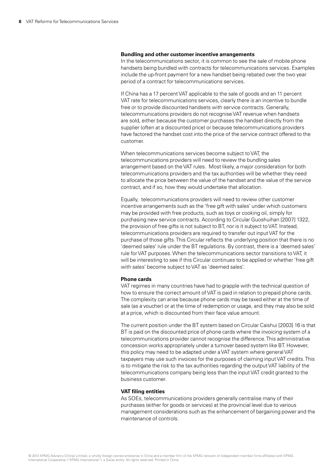#### **Bundling and other customer incentive arrangements**

In the telecommunications sector, it is common to see the sale of mobile phone handsets being bundled with contracts for telecommunications services. Examples include the up-front payment for a new handset being rebated over the two year period of a contract for telecommunications services.

If China has a 17 percent VAT applicable to the sale of goods and an 11 percent VAT rate for telecommunications services, clearly there is an incentive to bundle free or to provide discounted handsets with service contracts. Generally, telecommunications providers do not recognise VAT revenue when handsets are sold, either because the customer purchases the handset directly from the supplier (often at a discounted price) or because telecommunications providers have factored the handset cost into the price of the service contract offered to the customer.

When telecommunications services become subject to VAT, the telecommunications providers will need to review the bundling sales arrangement based on the VAT rules. Most likely, a major consideration for both telecommunications providers and the tax authorities will be whether they need to allocate the price between the value of the handset and the value of the service contract, and if so, how they would undertake that allocation.

Equally, telecommunications providers will need to review other customer incentive arrangements such as the 'free gift with sales' under which customers may be provided with free products, such as toys or cooking oil, simply for purchasing new service contracts. According to Circular Guoshuihan [2007] 1322, the provision of free gifts is not subject to BT, nor is it subject to VAT. Instead, telecommunications providers are required to transfer out input VAT for the purchase of those gifts. This Circular reflects the underlying position that there is no 'deemed sales' rule under the BT regulations. By contrast, there is a 'deemed sales' rule for VAT purposes. When the telecommunications sector transitions to VAT, it will be interesting to see if this Circular continues to be applied or whether 'free gift with sales' become subject to VAT as 'deemed sales'.

#### **Phone cards**

VAT regimes in many countries have had to grapple with the technical question of how to ensure the correct amount of VAT is paid in relation to prepaid phone cards. The complexity can arise because phone cards may be taxed either at the time of sale (as a voucher) or at the time of redemption or usage, and they may also be sold at a price, which is discounted from their face value amount.

The current position under the BT system based on Circular Caishui [2003] 16 is that BT is paid on the discounted price of phone cards where the invoicing system of a telecommunications provider cannot recognise the difference. This administrative concession works appropriately under a turnover based system like BT. However, this policy may need to be adapted under a VAT system where general VAT taxpayers may use such invoices for the purposes of claiming input VAT credits. This is to mitigate the risk to the tax authorities regarding the output VAT liability of the telecommunications company being less than the input VAT credit granted to the business customer.

#### **VAT filing entities**

As SOEs, telecommunications providers generally centralise many of their purchases (either for goods or services) at the provincial level due to various management considerations such as the enhancement of bargaining power and the maintenance of controls.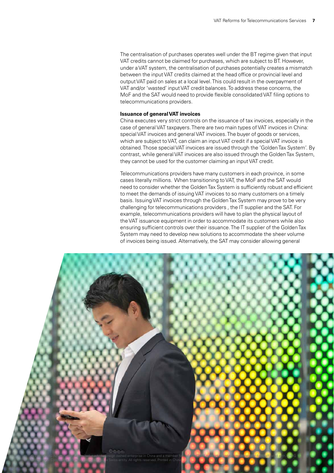The centralisation of purchases operates well under the BT regime given that input VAT credits cannot be claimed for purchases, which are subject to BT. However, under a VAT system, the centralisation of purchases potentially creates a mismatch between the input VAT credits claimed at the head office or provincial level and output VAT paid on sales at a local level. This could result in the overpayment of VAT and/or 'wasted' input VAT credit balances. To address these concerns, the MoF and the SAT would need to provide flexible consolidated VAT filing options to telecommunications providers.

#### **Issuance of general VAT invoices**

China executes very strict controls on the issuance of tax invoices, especially in the case of general VAT taxpayers. There are two main types of VAT invoices in China: special VAT invoices and general VAT invoices. The buyer of goods or services, which are subject to VAT, can claim an input VAT credit if a special VAT invoice is obtained. Those special VAT invoices are issued through the 'Golden Tax System'. By contrast, while general VAT invoices are also issued through the Golden Tax System, they cannot be used for the customer claiming an input VAT credit.

Telecommunications providers have many customers in each province, in some cases literally millions. When transitioning to VAT, the MoF and the SAT would need to consider whether the Golden Tax System is sufficiently robust and efficient to meet the demands of issuing VAT invoices to so many customers on a timely basis. Issuing VAT invoices through the Golden Tax System may prove to be very challenging for telecommunications providers , the IT supplier and the SAT. For example, telecommunications providers will have to plan the physical layout of the VAT issuance equipment in order to accommodate its customers while also ensuring sufficient controls over their issuance. The IT supplier of the Golden Tax System may need to develop new solutions to accommodate the sheer volume of invoices being issued. Alternatively, the SAT may consider allowing general

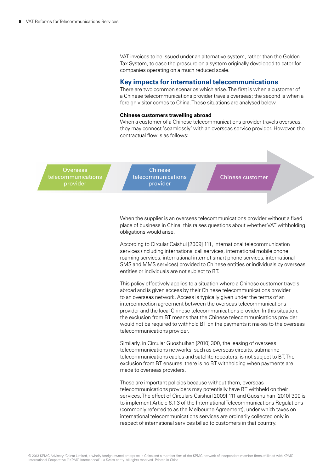VAT invoices to be issued under an alternative system, rather than the Golden Tax System, to ease the pressure on a system originally developed to cater for companies operating on a much reduced scale.

#### **Key impacts for international telecommunications**

There are two common scenarios which arise. The first is when a customer of a Chinese telecommunications provider travels overseas; the second is when a foreign visitor comes to China. These situations are analysed below.

#### **Chinese customers travelling abroad**

When a customer of a Chinese telecommunications provider travels overseas, they may connect 'seamlessly' with an overseas service provider. However, the contractual flow is as follows:

**Overseas** provider

Chinese telecommunications provider

Chinese customer

When the supplier is an overseas telecommunications provider without a fixed place of business in China, this raises questions about whether VAT withholding obligations would arise.

According to Circular Caishui [2009] 111, international telecommunication services (including international call services, international mobile phone roaming services, international internet smart phone services, international SMS and MMS services) provided to Chinese entities or individuals by overseas entities or individuals are not subject to BT.

This policy effectively applies to a situation where a Chinese customer travels abroad and is given access by their Chinese telecommunications provider to an overseas network. Access is typically given under the terms of an interconnection agreement between the overseas telecommunications provider and the local Chinese telecommunications provider. In this situation, the exclusion from BT means that the Chinese telecommunications provider would not be required to withhold BT on the payments it makes to the overseas telecommunications provider.

Similarly, in Circular Guoshuihan [2010] 300, the leasing of overseas telecommunications networks, such as overseas circuits, submarine telecommunications cables and satellite repeaters, is not subject to BT. The exclusion from BT ensures there is no BT withholding when payments are made to overseas providers.

These are important policies because without them, overseas telecommunications providers may potentially have BT withheld on their services. The effect of Circulars Caishui [2009] 111 and Guoshuihan [2010] 300 is to implement Article 6.1.3 of the International Telecommunications Regulations (commonly referred to as the Melbourne Agreement), under which taxes on international telecommunications services are ordinarily collected only in respect of international services billed to customers in that country.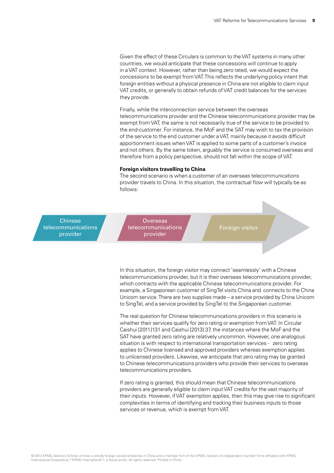Given the effect of these Circulars is common to the VAT systems in many other countries, we would anticipate that these concessions will continue to apply in a VAT context. However, rather than being zero rated, we would expect the concessions to be exempt from VAT. This reflects the underlying policy intent that foreign entities without a physical presence in China are not eligible to claim input VAT credits, or generally to obtain refunds of VAT credit balances for the services they provide.

Finally, while the interconnection service between the overseas telecommunications provider and the Chinese telecommunications provider may be exempt from VAT, the same is not necessarily true of the service to be provided to the end-customer. For instance, the MoF and the SAT may wish to tax the provision of the service to the end customer under a VAT, mainly because it avoids difficult apportionment issues when VAT is applied to some parts of a customer's invoice and not others. By the same token, arguably the service is consumed overseas and therefore from a policy perspective, should not fall within the scope of VAT.

#### **Foreign visitors travelling to China**

The second scenario is when a customer of an overseas telecommunications provider travels to China. In this situation, the contractual flow will typically be as follows:

Chinese telecommunications provider

**Overseas** telecommunications provider

Foreign visitor

In this situation, the foreign visitor may connect 'seamlessly' with a Chinese telecommunications provider, but it is their overseas telecommunications provider, which contracts with the applicable Chinese telecommunications provider. For example, a Singaporean customer of SingTel visits China and connects to the China Unicom service. There are two supplies made – a service provided by China Unicom to SingTel, and a service provided by SingTel to the Singaporean customer.

The real question for Chinese telecommunications providers in this scenario is whether their services qualify for zero rating or exemption from VAT. In Circular Caishui [2011]131 and Caishui [2013] 37, the instances where the MoF and the SAT have granted zero rating are relatively uncommon. However, one analogous situation is with respect to international transportation services - zero rating applies to Chinese licensed and approved providers whereas exemption applies to unlicensed providers. Likewise, we anticipate that zero rating may be granted to Chinese telecommunications providers who provide their services to overseas telecommunications providers.

If zero rating is granted, this should mean that Chinese telecommunications providers are generally eligible to claim input VAT credits for the vast majority of their inputs. However, if VAT exemption applies, then this may give rise to significant complexities in terms of identifying and tracking their business inputs to those services or revenue, which is exempt from VAT.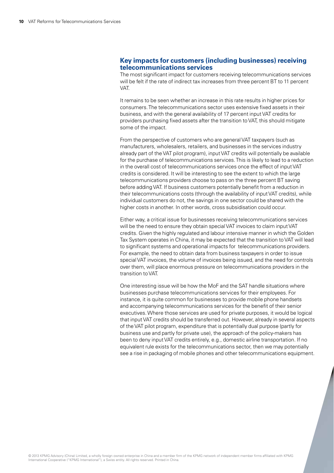#### **Key impacts for customers (including businesses) receiving telecommunications services**

The most significant impact for customers receiving telecommunications services will be felt if the rate of indirect tax increases from three percent BT to 11 percent VAT.

It remains to be seen whether an increase in this rate results in higher prices for consumers. The telecommunications sector uses extensive fixed assets in their business, and with the general availability of 17 percent input VAT credits for providers purchasing fixed assets after the transition to VAT, this should mitigate some of the impact.

From the perspective of customers who are general VAT taxpayers (such as manufacturers, wholesalers, retailers, and businesses in the services industry already part of the VAT pilot program), input VAT credits will potentially be available for the purchase of telecommunications services. This is likely to lead to a reduction in the overall cost of telecommunications services once the effect of input VAT credits is considered. It will be interesting to see the extent to which the large telecommunications providers choose to pass on the three percent BT saving before adding VAT. If business customers potentially benefit from a reduction in their telecommunications costs (through the availability of input VAT credits), while individual customers do not, the savings in one sector could be shared with the higher costs in another. In other words, cross subsidisation could occur.

Either way, a critical issue for businesses receiving telecommunications services will be the need to ensure they obtain special VAT invoices to claim input VAT credits. Given the highly regulated and labour intensive manner in which the Golden Tax System operates in China, it may be expected that the transition to VAT will lead to significant systems and operational impacts for telecommunications providers. For example, the need to obtain data from business taxpayers in order to issue special VAT invoices, the volume of invoices being issued, and the need for controls over them, will place enormous pressure on telecommunications providers in the transition to VAT.

One interesting issue will be how the MoF and the SAT handle situations where businesses purchase telecommunications services for their employees. For instance, it is quite common for businesses to provide mobile phone handsets and accompanying telecommunications services for the benefit of their senior executives. Where those services are used for private purposes, it would be logical that input VAT credits should be transferred out. However, already in several aspects of the VAT pilot program, expenditure that is potentially dual purpose (partly for business use and partly for private use), the approach of the policy-makers has been to deny input VAT credits entirely, e.g., domestic airline transportation. If no equivalent rule exists for the telecommunications sector, then we may potentially see a rise in packaging of mobile phones and other telecommunications equipment.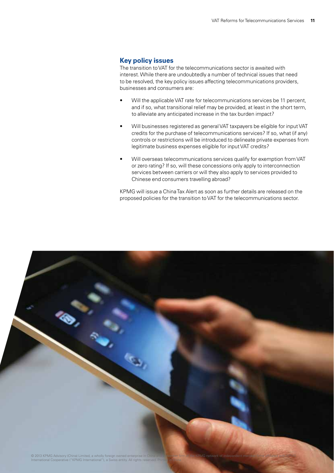### **Key policy issues**

The transition to VAT for the telecommunications sector is awaited with interest. While there are undoubtedly a number of technical issues that need to be resolved, the key policy issues affecting telecommunications providers, businesses and consumers are:

- Will the applicable VAT rate for telecommunications services be 11 percent, and if so, what transitional relief may be provided, at least in the short term, to alleviate any anticipated increase in the tax burden impact?
- Will businesses registered as general VAT taxpayers be eligible for input VAT credits for the purchase of telecommunications services? If so, what (if any) controls or restrictions will be introduced to delineate private expenses from legitimate business expenses eligible for input VAT credits?
- Will overseas telecommunications services qualify for exemption from VAT or zero rating? If so, will these concessions only apply to interconnection services between carriers or will they also apply to services provided to Chinese end consumers travelling abroad?

KPMG will issue a China Tax Alert as soon as further details are released on the proposed policies for the transition to VAT for the telecommunications sector.

![](_page_10_Picture_7.jpeg)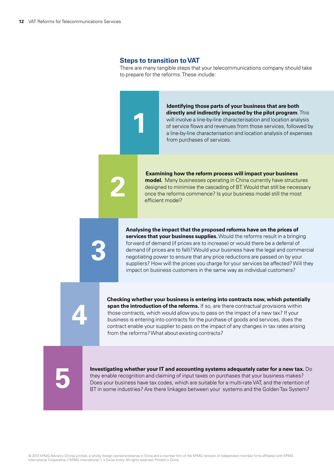#### **Steps to transition to VAT**

There are many tangible steps that your telecommunications company should take to prepare for the reforms. These include:

![](_page_11_Figure_3.jpeg)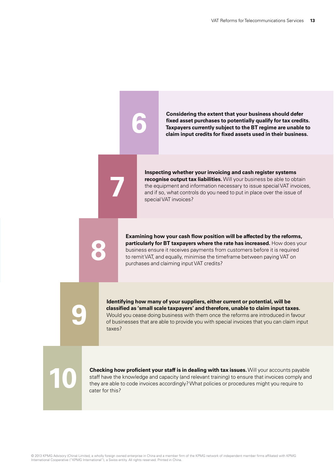![](_page_12_Figure_1.jpeg)

**10 Checking how proficient your staff is in dealing with tax issues.** Will your accounts payable staff have the knowledge and capacity (and relevant training) to ensure that invoices comply and they are able to code inv staff have the knowledge and capacity (and relevant training) to ensure that invoices comply and they are able to code invoices accordingly? What policies or procedures might you require to cater for this?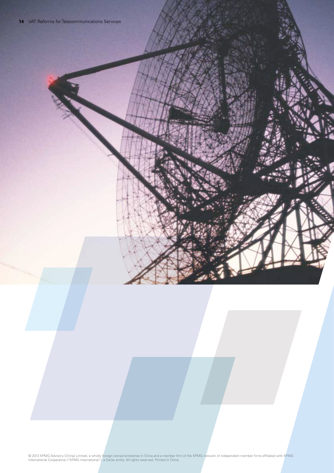![](_page_13_Picture_1.jpeg)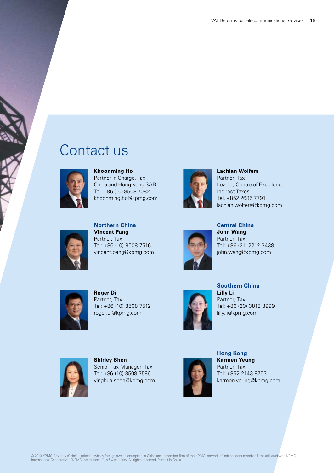## Contact us

![](_page_14_Picture_2.jpeg)

**Khoonming Ho** Partner in Charge, Tax China and Hong Kong SAR Tel. +86 (10) 8508 7082 [khoonming.ho@kpmg.com](mailto:khoonming.ho@kpmg.com?cc=enquiries.hk@kpmg.com&subject=web:[VAT-Reforms-for-Telecommunications-Services])

![](_page_14_Picture_4.jpeg)

**Lachlan Wolfers** Partner, Tax [Leader, Centre of Excellence,](mailto:lachlan.wolfers@kpmg.com?cc=enquiries.hk@kpmg.com&subject=web:[VAT-Reforms-for-Telecommunications-Services])  Indirect Taxes Tel. +852 2685 7791 lachlan.wolfers@kpmg.com

![](_page_14_Picture_6.jpeg)

**Northern China Vincent Pang** Partner, Tax Tel: +86 (10) 8508 7516 [vincent.pang@kpmg.com](mailto:vincent.pang@kpmg.com?cc=enquiries.hk@kpmg.com&subject=web:[VAT-Reforms-for-Telecommunications-Services])

![](_page_14_Picture_8.jpeg)

**Central China John Wang** Partner, Tax Tel: +86 (21) 2212 3438 [john.wang@kpmg.com](mailto:john.wang@kpmg.com?cc=enquiries.hk@kpmg.com&subject=web:[VAT-Reforms-for-Telecommunications-Services]) 

![](_page_14_Picture_10.jpeg)

**Roger Di** Partner, Tax Tel: +86 (10) 8508 7512 [roger.di@kpmg.com](mailto:roger.di@kpmg.com?cc=enquiries.hk@kpmg.com&subject=web:[VAT-Reforms-for-Telecommunications-Services])

![](_page_14_Picture_12.jpeg)

**[Southern China](mailto:lilly.li@kpmg.com?cc=enquiries.hk@kpmg.com&subject=web:[VAT-Reforms-for-Telecommunications-Services]) Lilly Li** Partner, Tax Tel: +86 (20) 3813 8999 lilly.li@kpmg.com

![](_page_14_Picture_14.jpeg)

**Shirley Shen** Senior Tax Manager, Tax Tel: +86 (10) 8508 7586 [yinghua.shen@kpmg.com](mailto:yinghua.shen@kpmg.com?cc=enquiries.hk@kpmg.com&subject=web:[VAT-Reforms-for-Telecommunications-Services]) 

![](_page_14_Picture_16.jpeg)

**Hong Kong Karmen Yeung** Partner, Tax Tel: +852 2143 8753 [karmen.yeung@kpmg.com](mailto:karmen.yeung@kpmg.com?cc=enquiries.hk@kpmg.com&subject=web:[VAT-Reforms-for-Telecommunications-Services])